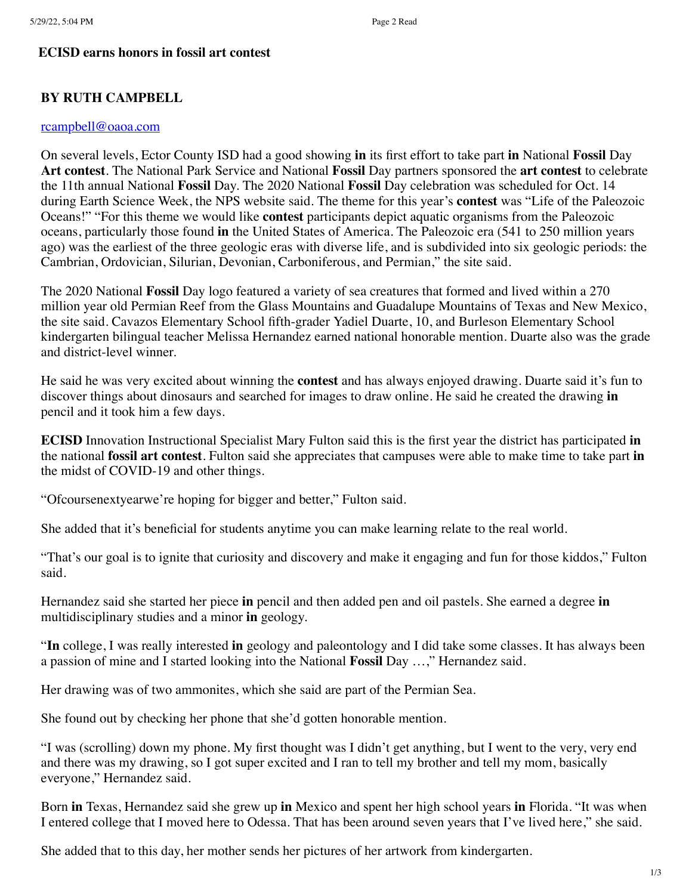## **ECISD earns honors in fossil art contest**

# **BY RUTH CAMPBELL**

## [rcampbell@oaoa.com](mailto:rcampbell@oaoa.com)

On several levels, Ector County ISD had a good showing **in** its first effort to take part **in** National **Fossil** Day **Art contest**. The National Park Service and National **Fossil** Day partners sponsored the **art contest** to celebrate the 11th annual National **Fossil** Day. The 2020 National **Fossil** Day celebration was scheduled for Oct. 14 during Earth Science Week, the NPS website said. The theme for this year's **contest** was "Life of the Paleozoic Oceans!" "For this theme we would like **contest** participants depict aquatic organisms from the Paleozoic oceans, particularly those found **in** the United States of America. The Paleozoic era (541 to 250 million years ago) was the earliest of the three geologic eras with diverse life, and is subdivided into six geologic periods: the Cambrian, Ordovician, Silurian, Devonian, Carboniferous, and Permian," the site said.

The 2020 National **Fossil** Day logo featured a variety of sea creatures that formed and lived within a 270 million year old Permian Reef from the Glass Mountains and Guadalupe Mountains of Texas and New Mexico, the site said. Cavazos Elementary School fifth-grader Yadiel Duarte, 10, and Burleson Elementary School kindergarten bilingual teacher Melissa Hernandez earned national honorable mention. Duarte also was the grade and district-level winner.

He said he was very excited about winning the **contest** and has always enjoyed drawing. Duarte said it's fun to discover things about dinosaurs and searched for images to draw online. He said he created the drawing **in** pencil and it took him a few days.

**ECISD** Innovation Instructional Specialist Mary Fulton said this is the first year the district has participated **in** the national **fossil art contest**. Fulton said she appreciates that campuses were able to make time to take part **in** the midst of COVID-19 and other things.

"Ofcoursenextyearwe're hoping for bigger and better," Fulton said.

She added that it's beneficial for students anytime you can make learning relate to the real world.

"That's our goal is to ignite that curiosity and discovery and make it engaging and fun for those kiddos," Fulton said.

Hernandez said she started her piece **in** pencil and then added pen and oil pastels. She earned a degree **in** multidisciplinary studies and a minor **in** geology.

"**In** college, I was really interested **in** geology and paleontology and I did take some classes. It has always been a passion of mine and I started looking into the National **Fossil** Day …," Hernandez said.

Her drawing was of two ammonites, which she said are part of the Permian Sea.

She found out by checking her phone that she'd gotten honorable mention.

"I was (scrolling) down my phone. My first thought was I didn't get anything, but I went to the very, very end and there was my drawing, so I got super excited and I ran to tell my brother and tell my mom, basically everyone," Hernandez said.

Born **in** Texas, Hernandez said she grew up **in** Mexico and spent her high school years **in** Florida. "It was when I entered college that I moved here to Odessa. That has been around seven years that I've lived here," she said.

She added that to this day, her mother sends her pictures of her artwork from kindergarten.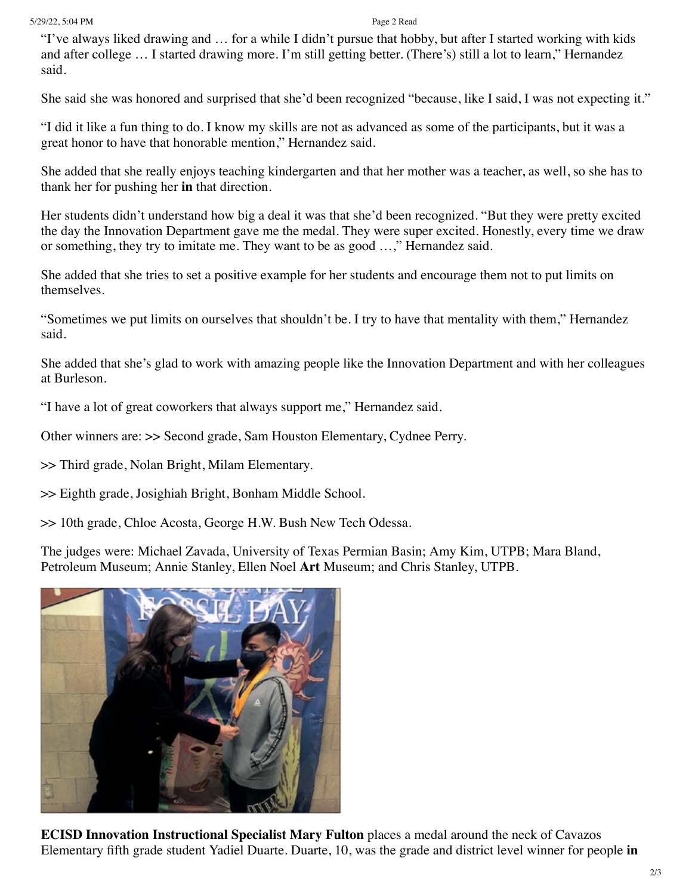### 5/29/22, 5:04 PM Page 2 Read

"I've always liked drawing and … for a while I didn't pursue that hobby, but after I started working with kids and after college … I started drawing more. I'm still getting better. (There's) still a lot to learn," Hernandez said.

She said she was honored and surprised that she'd been recognized "because, like I said, I was not expecting it."

"I did it like a fun thing to do. I know my skills are not as advanced as some of the participants, but it was a great honor to have that honorable mention," Hernandez said.

She added that she really enjoys teaching kindergarten and that her mother was a teacher, as well, so she has to thank her for pushing her **in** that direction.

Her students didn't understand how big a deal it was that she'd been recognized. "But they were pretty excited the day the Innovation Department gave me the medal. They were super excited. Honestly, every time we draw or something, they try to imitate me. They want to be as good …," Hernandez said.

She added that she tries to set a positive example for her students and encourage them not to put limits on themselves.

"Sometimes we put limits on ourselves that shouldn't be. I try to have that mentality with them," Hernandez said.

She added that she's glad to work with amazing people like the Innovation Department and with her colleagues at Burleson.

"I have a lot of great coworkers that always support me," Hernandez said.

Other winners are: >> Second grade, Sam Houston Elementary, Cydnee Perry.

>> Third grade, Nolan Bright, Milam Elementary.

>> Eighth grade, Josighiah Bright, Bonham Middle School.

>> 10th grade, Chloe Acosta, George H.W. Bush New Tech Odessa.

The judges were: Michael Zavada, University of Texas Permian Basin; Amy Kim, UTPB; Mara Bland, Petroleum Museum; Annie Stanley, Ellen Noel **Art** Museum; and Chris Stanley, UTPB.



**ECISD Innovation Instructional Specialist Mary Fulton** places a medal around the neck of Cavazos Elementary fifth grade student Yadiel Duarte. Duarte, 10, was the grade and district level winner for people **in**